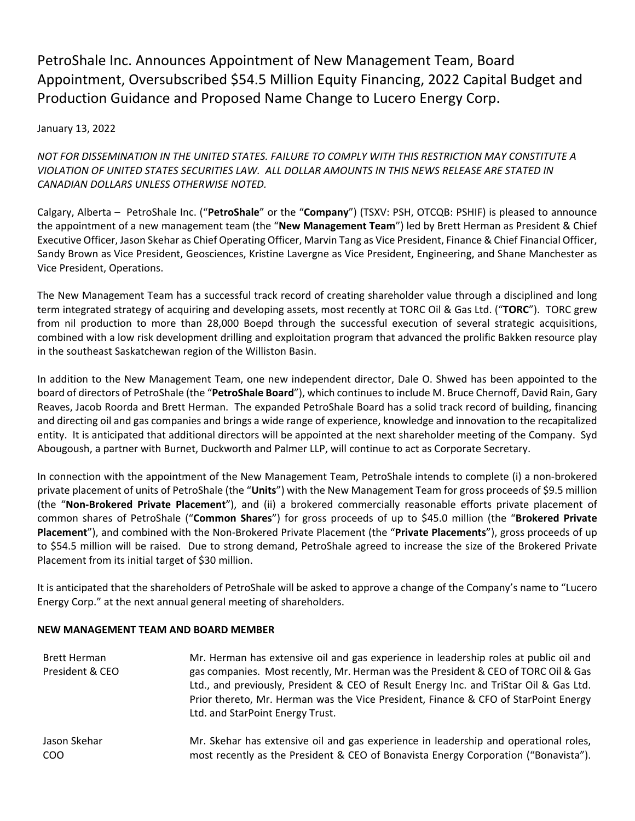# PetroShale Inc. Announces Appointment of New Management Team, Board Appointment, Oversubscribed \$54.5 Million Equity Financing, 2022 Capital Budget and Production Guidance and Proposed Name Change to Lucero Energy Corp.

# January 13, 2022

*NOT FOR DISSEMINATION IN THE UNITED STATES. FAILURE TO COMPLY WITH THIS RESTRICTION MAY CONSTITUTE A VIOLATION OF UNITED STATES SECURITIES LAW. ALL DOLLAR AMOUNTS IN THIS NEWS RELEASE ARE STATED IN CANADIAN DOLLARS UNLESS OTHERWISE NOTED.*

Calgary, Alberta – PetroShale Inc. ("**PetroShale**" or the "**Company**") (TSXV: PSH, OTCQB: PSHIF) is pleased to announce the appointment of a new management team (the "**New Management Team**") led by Brett Herman as President & Chief Executive Officer, Jason Skehar as Chief Operating Officer, Marvin Tang as Vice President, Finance & Chief Financial Officer, Sandy Brown as Vice President, Geosciences, Kristine Lavergne as Vice President, Engineering, and Shane Manchester as Vice President, Operations.

The New Management Team has a successful track record of creating shareholder value through a disciplined and long term integrated strategy of acquiring and developing assets, most recently at TORC Oil & Gas Ltd. ("**TORC**"). TORC grew from nil production to more than 28,000 Boepd through the successful execution of several strategic acquisitions, combined with a low risk development drilling and exploitation program that advanced the prolific Bakken resource play in the southeast Saskatchewan region of the Williston Basin.

In addition to the New Management Team, one new independent director, Dale O. Shwed has been appointed to the board of directors of PetroShale (the "**PetroShale Board**"), which continuesto include M. Bruce Chernoff, David Rain, Gary Reaves, Jacob Roorda and Brett Herman. The expanded PetroShale Board has a solid track record of building, financing and directing oil and gas companies and brings a wide range of experience, knowledge and innovation to the recapitalized entity. It is anticipated that additional directors will be appointed at the next shareholder meeting of the Company. Syd Abougoush, a partner with Burnet, Duckworth and Palmer LLP, will continue to act as Corporate Secretary.

In connection with the appointment of the New Management Team, PetroShale intends to complete (i) a non‐brokered private placement of units of PetroShale (the "**Units**") with the New Management Team for gross proceeds of \$9.5 million (the "**Non‐Brokered Private Placement**"), and (ii) a brokered commercially reasonable efforts private placement of common shares of PetroShale ("**Common Shares**") for gross proceeds of up to \$45.0 million (the "**Brokered Private Placement**"), and combined with the Non‐Brokered Private Placement (the "**Private Placements**"), gross proceeds of up to \$54.5 million will be raised. Due to strong demand, PetroShale agreed to increase the size of the Brokered Private Placement from its initial target of \$30 million.

It is anticipated that the shareholders of PetroShale will be asked to approve a change of the Company's name to "Lucero Energy Corp." at the next annual general meeting of shareholders.

## **NEW MANAGEMENT TEAM AND BOARD MEMBER**

| <b>Brett Herman</b><br>President & CEO | Mr. Herman has extensive oil and gas experience in leadership roles at public oil and<br>gas companies. Most recently, Mr. Herman was the President & CEO of TORC Oil & Gas<br>Ltd., and previously, President & CEO of Result Energy Inc. and TriStar Oil & Gas Ltd.<br>Prior thereto, Mr. Herman was the Vice President, Finance & CFO of StarPoint Energy<br>Ltd. and StarPoint Energy Trust. |
|----------------------------------------|--------------------------------------------------------------------------------------------------------------------------------------------------------------------------------------------------------------------------------------------------------------------------------------------------------------------------------------------------------------------------------------------------|
| Jason Skehar                           | Mr. Skehar has extensive oil and gas experience in leadership and operational roles,                                                                                                                                                                                                                                                                                                             |
| COO                                    | most recently as the President & CEO of Bonavista Energy Corporation ("Bonavista").                                                                                                                                                                                                                                                                                                              |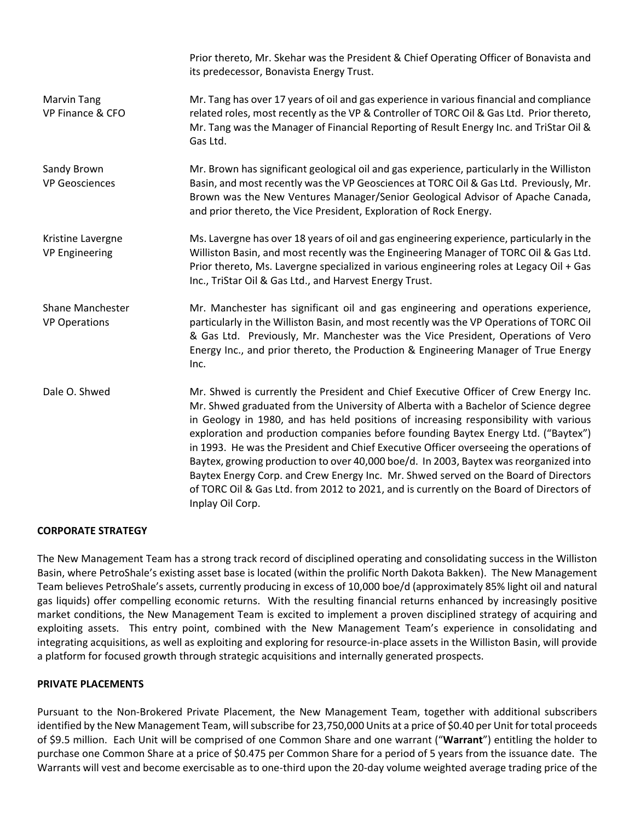|                                            | Prior thereto, Mr. Skehar was the President & Chief Operating Officer of Bonavista and<br>its predecessor, Bonavista Energy Trust.                                                                                                                                                                                                                                                                                                                                                                                                                                                                                                                                                                                                                  |
|--------------------------------------------|-----------------------------------------------------------------------------------------------------------------------------------------------------------------------------------------------------------------------------------------------------------------------------------------------------------------------------------------------------------------------------------------------------------------------------------------------------------------------------------------------------------------------------------------------------------------------------------------------------------------------------------------------------------------------------------------------------------------------------------------------------|
| <b>Marvin Tang</b><br>VP Finance & CFO     | Mr. Tang has over 17 years of oil and gas experience in various financial and compliance<br>related roles, most recently as the VP & Controller of TORC Oil & Gas Ltd. Prior thereto,<br>Mr. Tang was the Manager of Financial Reporting of Result Energy Inc. and TriStar Oil &<br>Gas Ltd.                                                                                                                                                                                                                                                                                                                                                                                                                                                        |
| Sandy Brown<br><b>VP Geosciences</b>       | Mr. Brown has significant geological oil and gas experience, particularly in the Williston<br>Basin, and most recently was the VP Geosciences at TORC Oil & Gas Ltd. Previously, Mr.<br>Brown was the New Ventures Manager/Senior Geological Advisor of Apache Canada,<br>and prior thereto, the Vice President, Exploration of Rock Energy.                                                                                                                                                                                                                                                                                                                                                                                                        |
| Kristine Lavergne<br><b>VP Engineering</b> | Ms. Lavergne has over 18 years of oil and gas engineering experience, particularly in the<br>Williston Basin, and most recently was the Engineering Manager of TORC Oil & Gas Ltd.<br>Prior thereto, Ms. Lavergne specialized in various engineering roles at Legacy Oil + Gas<br>Inc., TriStar Oil & Gas Ltd., and Harvest Energy Trust.                                                                                                                                                                                                                                                                                                                                                                                                           |
| Shane Manchester<br><b>VP Operations</b>   | Mr. Manchester has significant oil and gas engineering and operations experience,<br>particularly in the Williston Basin, and most recently was the VP Operations of TORC Oil<br>& Gas Ltd. Previously, Mr. Manchester was the Vice President, Operations of Vero<br>Energy Inc., and prior thereto, the Production & Engineering Manager of True Energy<br>Inc.                                                                                                                                                                                                                                                                                                                                                                                    |
| Dale O. Shwed                              | Mr. Shwed is currently the President and Chief Executive Officer of Crew Energy Inc.<br>Mr. Shwed graduated from the University of Alberta with a Bachelor of Science degree<br>in Geology in 1980, and has held positions of increasing responsibility with various<br>exploration and production companies before founding Baytex Energy Ltd. ("Baytex")<br>in 1993. He was the President and Chief Executive Officer overseeing the operations of<br>Baytex, growing production to over 40,000 boe/d. In 2003, Baytex was reorganized into<br>Baytex Energy Corp. and Crew Energy Inc. Mr. Shwed served on the Board of Directors<br>of TORC Oil & Gas Ltd. from 2012 to 2021, and is currently on the Board of Directors of<br>Inplay Oil Corp. |

## **CORPORATE STRATEGY**

The New Management Team has a strong track record of disciplined operating and consolidating success in the Williston Basin, where PetroShale's existing asset base is located (within the prolific North Dakota Bakken). The New Management Team believes PetroShale's assets, currently producing in excess of 10,000 boe/d (approximately 85% light oil and natural gas liquids) offer compelling economic returns. With the resulting financial returns enhanced by increasingly positive market conditions, the New Management Team is excited to implement a proven disciplined strategy of acquiring and exploiting assets. This entry point, combined with the New Management Team's experience in consolidating and integrating acquisitions, as well as exploiting and exploring for resource‐in‐place assets in the Williston Basin, will provide a platform for focused growth through strategic acquisitions and internally generated prospects.

#### **PRIVATE PLACEMENTS**

Pursuant to the Non‐Brokered Private Placement, the New Management Team, together with additional subscribers identified by the New Management Team, will subscribe for 23,750,000 Units at a price of \$0.40 per Unit for total proceeds of \$9.5 million. Each Unit will be comprised of one Common Share and one warrant ("**Warrant**") entitling the holder to purchase one Common Share at a price of \$0.475 per Common Share for a period of 5 years from the issuance date. The Warrants will vest and become exercisable as to one‐third upon the 20‐day volume weighted average trading price of the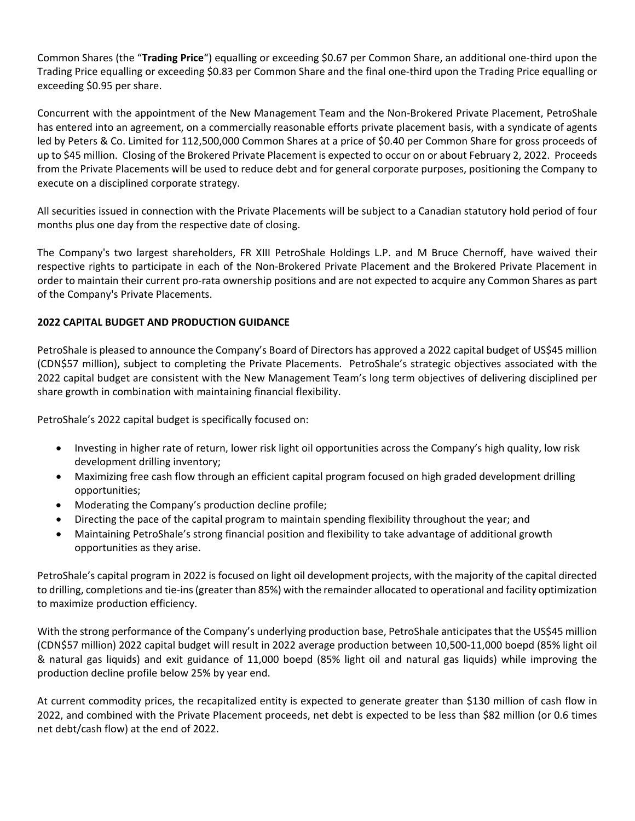Common Shares (the "**Trading Price**") equalling or exceeding \$0.67 per Common Share, an additional one‐third upon the Trading Price equalling or exceeding \$0.83 per Common Share and the final one‐third upon the Trading Price equalling or exceeding \$0.95 per share.

Concurrent with the appointment of the New Management Team and the Non‐Brokered Private Placement, PetroShale has entered into an agreement, on a commercially reasonable efforts private placement basis, with a syndicate of agents led by Peters & Co. Limited for 112,500,000 Common Shares at a price of \$0.40 per Common Share for gross proceeds of up to \$45 million. Closing of the Brokered Private Placement is expected to occur on or about February 2, 2022. Proceeds from the Private Placements will be used to reduce debt and for general corporate purposes, positioning the Company to execute on a disciplined corporate strategy.

All securities issued in connection with the Private Placements will be subject to a Canadian statutory hold period of four months plus one day from the respective date of closing.

The Company's two largest shareholders, FR XIII PetroShale Holdings L.P. and M Bruce Chernoff, have waived their respective rights to participate in each of the Non-Brokered Private Placement and the Brokered Private Placement in order to maintain their current pro‐rata ownership positions and are not expected to acquire any Common Shares as part of the Company's Private Placements.

## **2022 CAPITAL BUDGET AND PRODUCTION GUIDANCE**

PetroShale is pleased to announce the Company's Board of Directors has approved a 2022 capital budget of US\$45 million (CDN\$57 million), subject to completing the Private Placements. PetroShale's strategic objectives associated with the 2022 capital budget are consistent with the New Management Team's long term objectives of delivering disciplined per share growth in combination with maintaining financial flexibility.

PetroShale's 2022 capital budget is specifically focused on:

- Investing in higher rate of return, lower risk light oil opportunities across the Company's high quality, low risk development drilling inventory;
- Maximizing free cash flow through an efficient capital program focused on high graded development drilling opportunities;
- Moderating the Company's production decline profile;
- Directing the pace of the capital program to maintain spending flexibility throughout the year; and
- Maintaining PetroShale's strong financial position and flexibility to take advantage of additional growth opportunities as they arise.

PetroShale's capital program in 2022 is focused on light oil development projects, with the majority of the capital directed to drilling, completions and tie‐ins(greater than 85%) with the remainder allocated to operational and facility optimization to maximize production efficiency.

With the strong performance of the Company's underlying production base, PetroShale anticipates that the US\$45 million (CDN\$57 million) 2022 capital budget will result in 2022 average production between 10,500‐11,000 boepd (85% light oil & natural gas liquids) and exit guidance of 11,000 boepd (85% light oil and natural gas liquids) while improving the production decline profile below 25% by year end.

At current commodity prices, the recapitalized entity is expected to generate greater than \$130 million of cash flow in 2022, and combined with the Private Placement proceeds, net debt is expected to be less than \$82 million (or 0.6 times net debt/cash flow) at the end of 2022.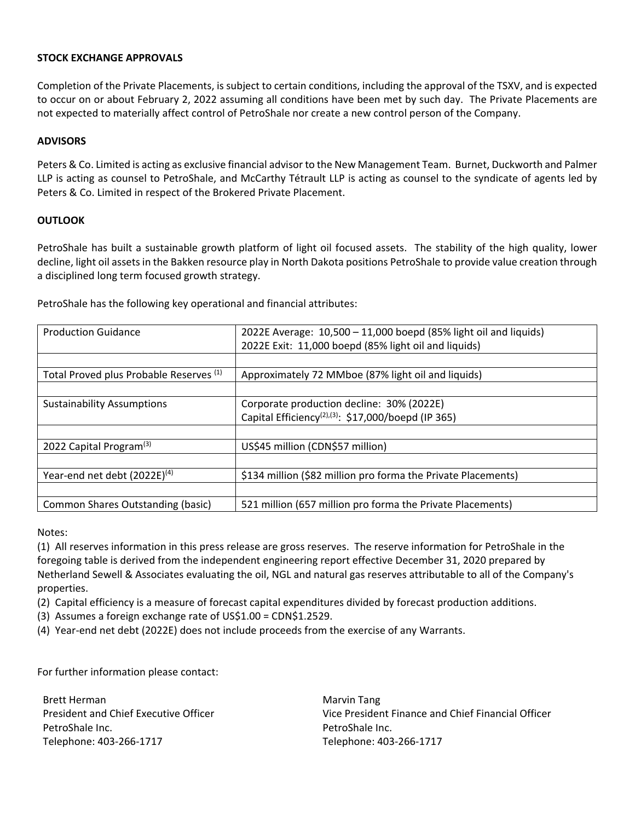#### **STOCK EXCHANGE APPROVALS**

Completion of the Private Placements, is subject to certain conditions, including the approval of the TSXV, and is expected to occur on or about February 2, 2022 assuming all conditions have been met by such day. The Private Placements are not expected to materially affect control of PetroShale nor create a new control person of the Company.

### **ADVISORS**

Peters & Co. Limited is acting as exclusive financial advisor to the New Management Team. Burnet, Duckworth and Palmer LLP is acting as counsel to PetroShale, and McCarthy Tétrault LLP is acting as counsel to the syndicate of agents led by Peters & Co. Limited in respect of the Brokered Private Placement.

## **OUTLOOK**

PetroShale has built a sustainable growth platform of light oil focused assets. The stability of the high quality, lower decline, light oil assets in the Bakken resource play in North Dakota positions PetroShale to provide value creation through a disciplined long term focused growth strategy.

PetroShale has the following key operational and financial attributes:

| <b>Production Guidance</b>                         | 2022E Average: 10,500 - 11,000 boepd (85% light oil and liquids) |
|----------------------------------------------------|------------------------------------------------------------------|
|                                                    | 2022E Exit: 11,000 boepd (85% light oil and liquids)             |
|                                                    |                                                                  |
| Total Proved plus Probable Reserves <sup>(1)</sup> | Approximately 72 MMboe (87% light oil and liquids)               |
|                                                    |                                                                  |
| <b>Sustainability Assumptions</b>                  | Corporate production decline: 30% (2022E)                        |
|                                                    | Capital Efficiency <sup>(2),(3)</sup> : \$17,000/boepd (IP 365)  |
|                                                    |                                                                  |
| 2022 Capital Program <sup>(3)</sup>                | US\$45 million (CDN\$57 million)                                 |
|                                                    |                                                                  |
| Year-end net debt $(2022E)^{(4)}$                  | \$134 million (\$82 million pro forma the Private Placements)    |
|                                                    |                                                                  |
| Common Shares Outstanding (basic)                  | 521 million (657 million pro forma the Private Placements)       |

Notes:

(1) All reserves information in this press release are gross reserves. The reserve information for PetroShale in the foregoing table is derived from the independent engineering report effective December 31, 2020 prepared by Netherland Sewell & Associates evaluating the oil, NGL and natural gas reserves attributable to all of the Company's properties.

(2) Capital efficiency is a measure of forecast capital expenditures divided by forecast production additions.

(3) Assumes a foreign exchange rate of US\$1.00 = CDN\$1.2529.

(4) Year‐end net debt (2022E) does not include proceeds from the exercise of any Warrants.

For further information please contact:

Brett Herman President and Chief Executive Officer PetroShale Inc. Telephone: 403‐266‐1717

Marvin Tang Vice President Finance and Chief Financial Officer PetroShale Inc. Telephone: 403‐266‐1717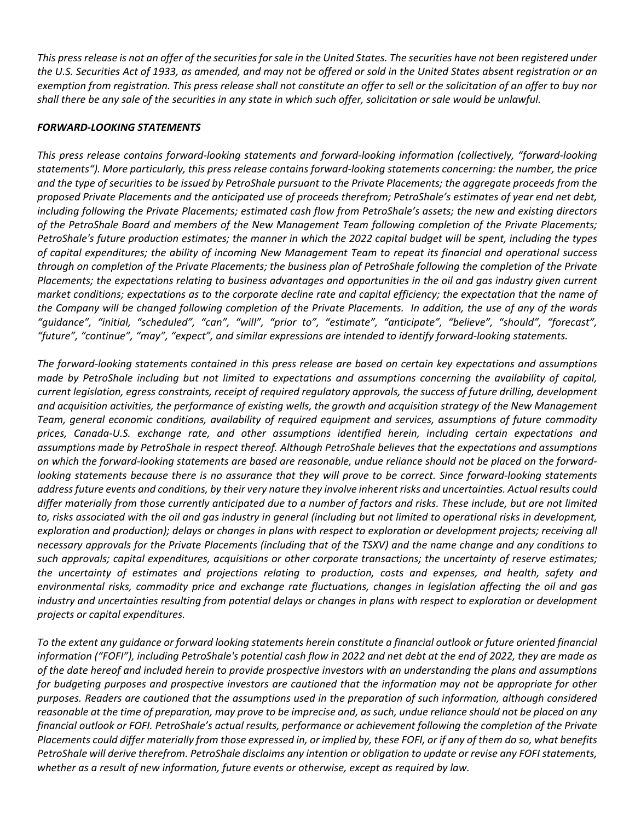This press release is not an offer of the securities for sale in the United States. The securities have not been registered under the U.S. Securities Act of 1933, as amended, and may not be offered or sold in the United States absent registration or an exemption from registration. This press release shall not constitute an offer to sell or the solicitation of an offer to buy nor shall there be any sale of the securities in any state in which such offer, solicitation or sale would be unlawful.

## *FORWARD‐LOOKING STATEMENTS*

This press release contains forward-looking statements and forward-looking information (collectively, "forward-looking statements"). More particularly, this press release contains forward-looking statements concerning: the number, the price and the type of securities to be issued by PetroShale pursuant to the Private Placements; the aggregate proceeds from the proposed Private Placements and the anticipated use of proceeds therefrom; PetroShale's estimates of year end net debt, including following the Private Placements; estimated cash flow from PetroShale's assets; the new and existing directors of the PetroShale Board and members of the New Management Team following completion of the Private Placements; PetroShale's future production estimates; the manner in which the 2022 capital budget will be spent, including the types of capital expenditures; the ability of incoming New Management Team to repeat its financial and operational success through on completion of the Private Placements; the business plan of PetroShale following the completion of the Private Placements; the expectations relating to business advantages and opportunities in the oil and gas industry given current market conditions; expectations as to the corporate decline rate and capital efficiency; the expectation that the name of the Company will be changed following completion of the Private Placements. In addition, the use of any of the words *"guidance", "initial, "scheduled", "can", "will", "prior to", "estimate", "anticipate", "believe", "should", "forecast", "future", "continue", "may", "expect", and similar expressions are intended to identify forward‐looking statements.*

The forward-looking statements contained in this press release are based on certain key expectations and assumptions made by PetroShale including but not limited to expectations and assumptions concerning the availability of capital, current legislation, egress constraints, receipt of required regulatory approvals, the success of future drilling, development and acquisition activities, the performance of existing wells, the growth and acquisition strategy of the New Management *Team, general economic conditions, availability of required equipment and services, assumptions of future commodity prices, Canada‐U.S. exchange rate, and other assumptions identified herein, including certain expectations and assumptions made by PetroShale in respect thereof. Although PetroShale believes that the expectations and assumptions* on which the forward-looking statements are based are reasonable, undue reliance should not be placed on the forwardlooking statements because there is no assurance that they will prove to be correct. Since forward-looking statements address future events and conditions, by their very nature they involve inherent risks and uncertainties. Actual results could differ materially from those currently anticipated due to a number of factors and risks. These include, but are not limited to, risks associated with the oil and gas industry in general (including but not limited to operational risks in development, exploration and production); delays or changes in plans with respect to exploration or development projects; receiving all necessary approvals for the Private Placements (including that of the TSXV) and the name change and any conditions to *such approvals; capital expenditures, acquisitions or other corporate transactions; the uncertainty of reserve estimates; the uncertainty of estimates and projections relating to production, costs and expenses, and health, safety and* environmental risks, commodity price and exchange rate fluctuations, changes in legislation affecting the oil and gas industry and uncertainties resulting from potential delays or changes in plans with respect to exploration or development *projects or capital expenditures.* 

To the extent any guidance or forward looking statements herein constitute a financial outlook or future oriented financial information ("FOFI"), including PetroShale's potential cash flow in 2022 and net debt at the end of 2022, they are made as of the date hereof and included herein to provide prospective investors with an understanding the plans and assumptions for budgeting purposes and prospective investors are cautioned that the information may not be appropriate for other purposes. Readers are cautioned that the assumptions used in the preparation of such information, although considered reasonable at the time of preparation, may prove to be imprecise and, as such, undue reliance should not be placed on any financial outlook or FOFI. PetroShale's actual results, performance or achievement following the completion of the Private Placements could differ materially from those expressed in, or implied by, these FOFI, or if any of them do so, what benefits PetroShale will derive therefrom. PetroShale disclaims any intention or obligation to update or revise any FOFI statements, *whether as a result of new information, future events or otherwise, except as required by law.*